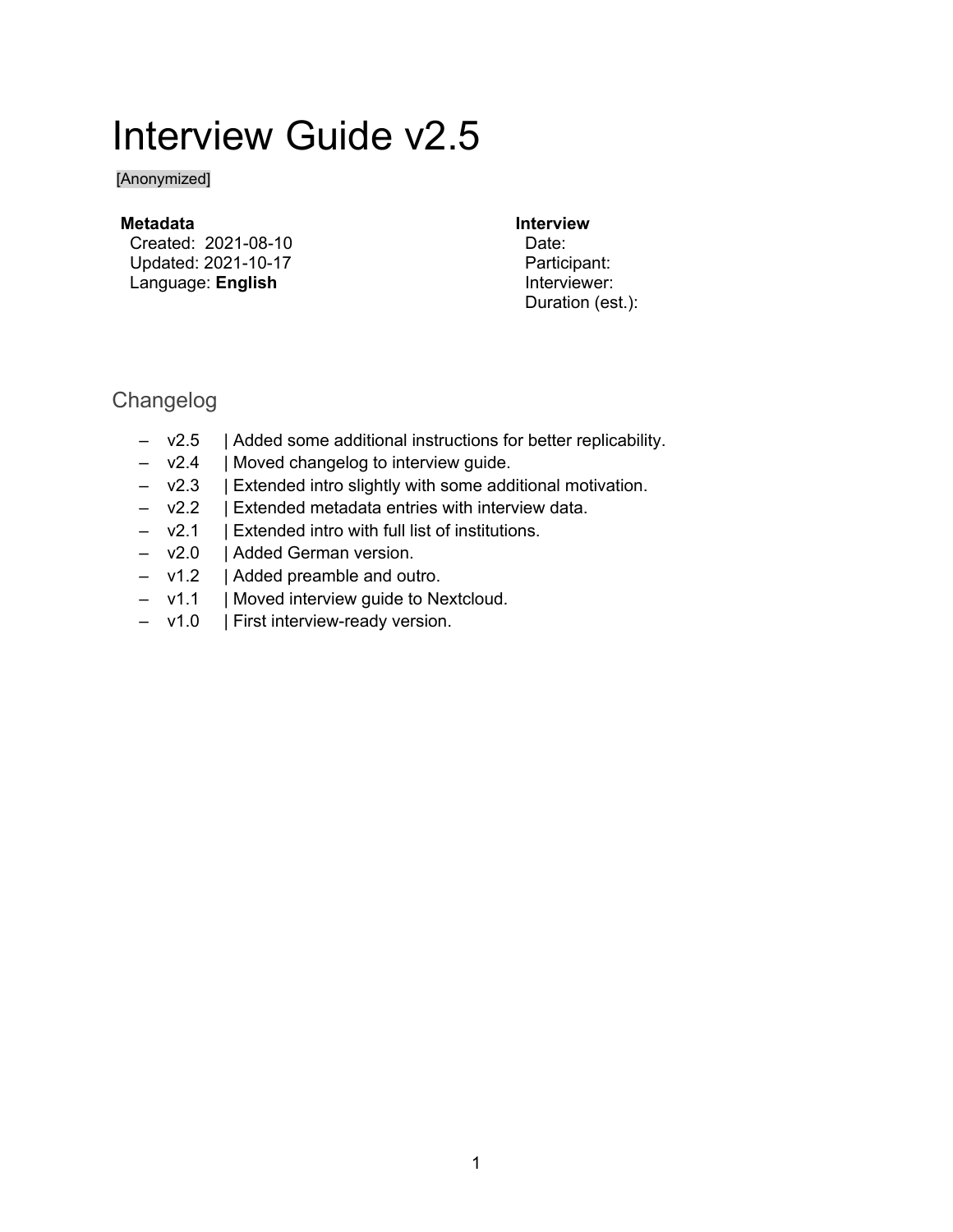# Interview Guide v2.5

[Anonymized]

#### **Metadata**

Created: 2021-08-10 Updated: 2021-10-17 Language: **English**

#### **Interview**

Date: Participant: Interviewer: Duration (est.):

# Changelog

- v2.5 | Added some additional instructions for better replicability.
- v2.4 | Moved changelog to interview guide.
- v2.3 | Extended intro slightly with some additional motivation.
- v2.2 | Extended metadata entries with interview data.
- v2.1 | Extended intro with full list of institutions.
- v2.0 | Added German version.
- v1.2 | Added preamble and outro.
- v1.1 | Moved interview guide to Nextcloud.
- v1.0 | First interview-ready version.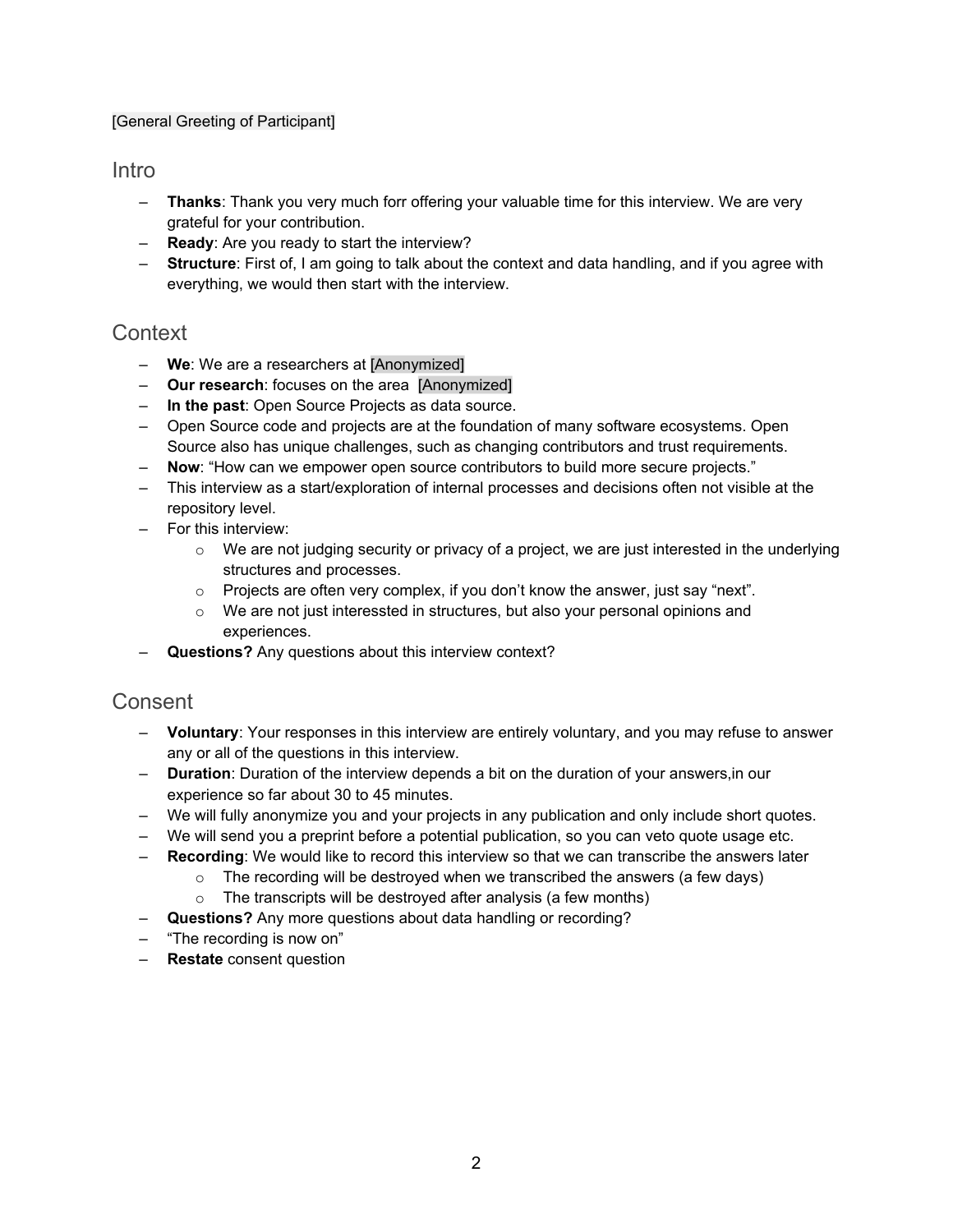#### [General Greeting of Participant]

#### Intro

- **Thanks**: Thank you very much forr offering your valuable time for this interview. We are very grateful for your contribution.
- **Ready**: Are you ready to start the interview?
- **Structure**: First of, I am going to talk about the context and data handling, and if you agree with everything, we would then start with the interview.

# **Context**

- **We**: We are a researchers at [Anonymized]
- **Our research**: focuses on the area [Anonymized]
- **In the past**: Open Source Projects as data source.
- Open Source code and projects are at the foundation of many software ecosystems. Open Source also has unique challenges, such as changing contributors and trust requirements.
- **Now**: "How can we empower open source contributors to build more secure projects."
- This interview as a start/exploration of internal processes and decisions often not visible at the repository level.
- For this interview:
	- $\circ$  We are not judging security or privacy of a project, we are just interested in the underlying structures and processes.
	- $\circ$  Projects are often very complex, if you don't know the answer, just say "next".
	- $\circ$  We are not just interessted in structures, but also your personal opinions and experiences.
- **Questions?** Any questions about this interview context?

#### **Consent**

- **Voluntary**: Your responses in this interview are entirely voluntary, and you may refuse to answer any or all of the questions in this interview.
- **Duration**: Duration of the interview depends a bit on the duration of your answers,in our experience so far about 30 to 45 minutes.
- We will fully anonymize you and your projects in any publication and only include short quotes.
- We will send you a preprint before a potential publication, so you can veto quote usage etc.
- **Recording**: We would like to record this interview so that we can transcribe the answers later
	- $\circ$  The recording will be destroyed when we transcribed the answers (a few days)
	- $\circ$  The transcripts will be destroyed after analysis (a few months)
- **Questions?** Any more questions about data handling or recording?
- "The recording is now on"
- **Restate** consent question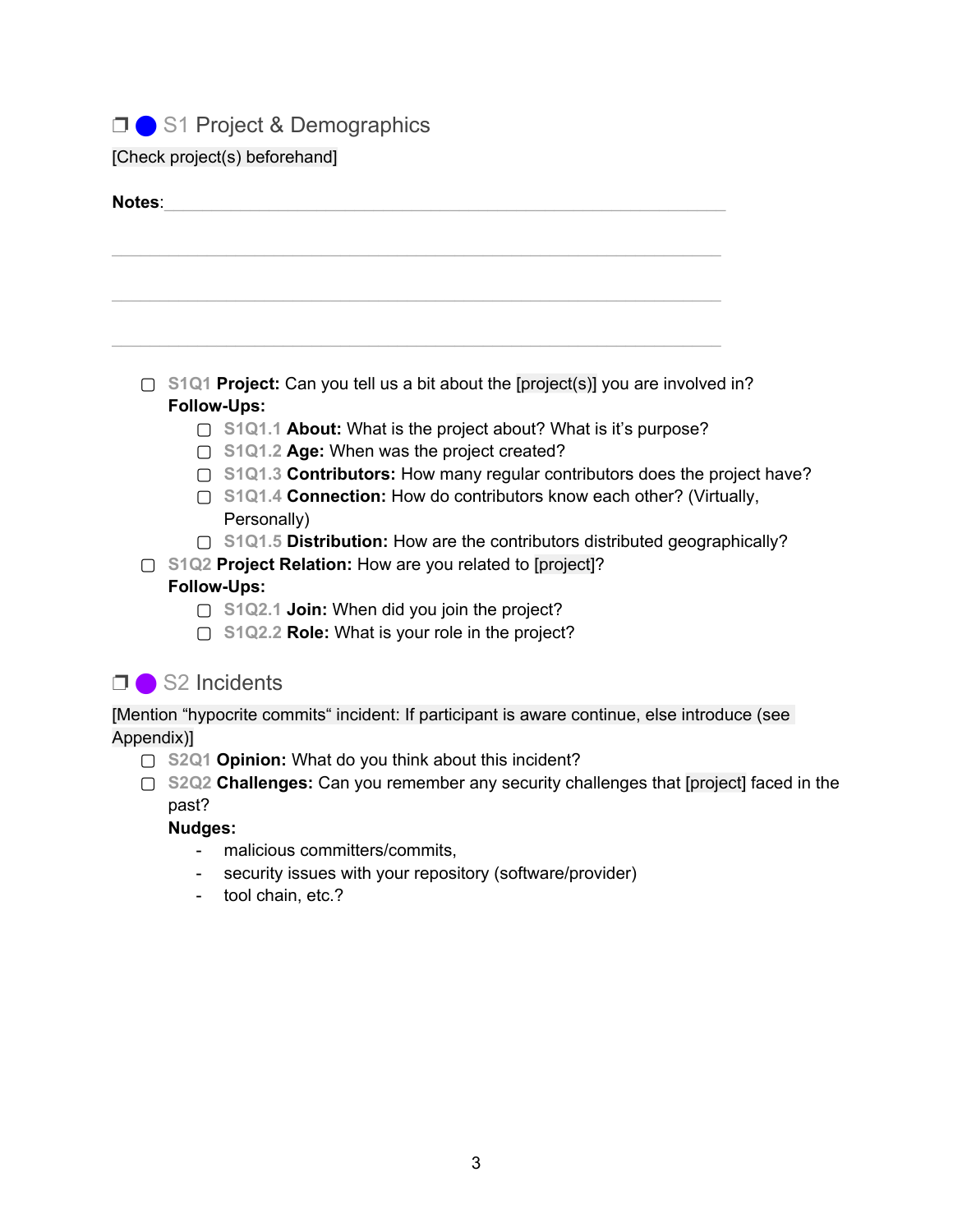□ S1 Project & Demographics

[Check project(s) beforehand]

| Notes:     |                                                                                                |  |
|------------|------------------------------------------------------------------------------------------------|--|
|            |                                                                                                |  |
|            |                                                                                                |  |
|            |                                                                                                |  |
|            |                                                                                                |  |
|            |                                                                                                |  |
|            | S1Q1 Project: Can you tell us a bit about the [project(s)] you are involved in?                |  |
|            | <b>Follow-Ups:</b><br>□ S1Q1.1 About: What is the project about? What is it's purpose?         |  |
|            | □ S1Q1.2 Age: When was the project created?                                                    |  |
|            | $\Box$ S1Q1.3 Contributors: How many regular contributors does the project have?               |  |
|            | □ S1Q1.4 Connection: How do contributors know each other? (Virtually,                          |  |
|            | Personally)                                                                                    |  |
|            | □ S1Q1.5 Distribution: How are the contributors distributed geographically?                    |  |
|            | S1Q2 Project Relation: How are you related to [project]?                                       |  |
|            | <b>Follow-Ups:</b><br>$\Box$ S1Q2.1 Join: When did you join the project?                       |  |
|            | $\Box$ S1Q2.2 Role: What is your role in the project?                                          |  |
|            |                                                                                                |  |
| ⊓∣         | S2 Incidents                                                                                   |  |
|            | [Mention "hypocrite commits" incident: If participant is aware continue, else introduce (see   |  |
| Appendix)] |                                                                                                |  |
|            | □ S2Q1 Opinion: What do you think about this incident?                                         |  |
| ∩          | S2Q2 Challenges: Can you remember any security challenges that [project] faced in the<br>past? |  |

**Nudges:**

- malicious committers/commits,
- security issues with your repository (software/provider)
- tool chain, etc.?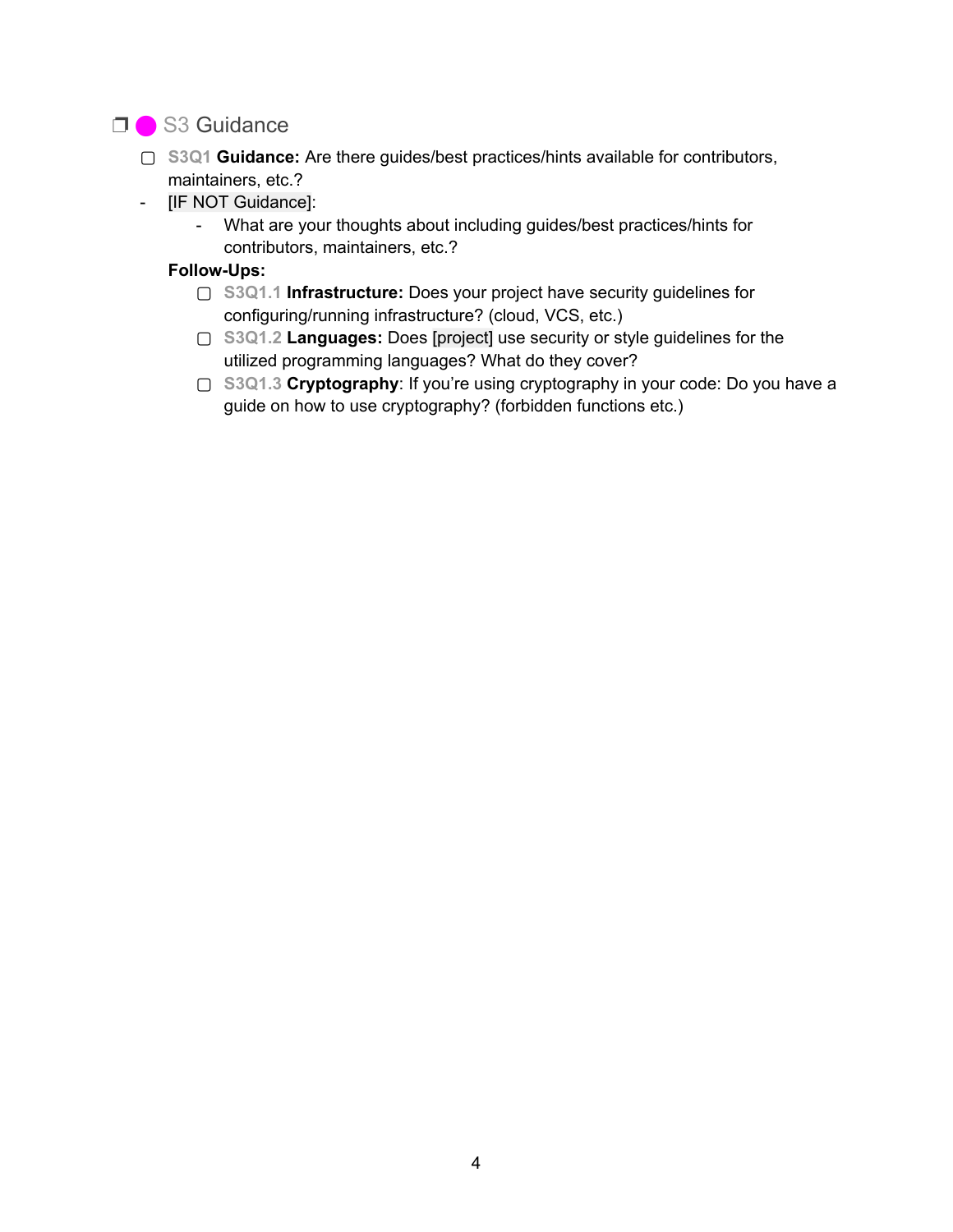# □ S3 Guidance

- ▢ **S3Q1 Guidance:** Are there guides/best practices/hints available for contributors, maintainers, etc.?
- [IF NOT Guidance]:
	- What are your thoughts about including guides/best practices/hints for contributors, maintainers, etc.?

#### **Follow-Ups:**

- **▢ S3Q1.1 Infrastructure:** Does your project have security guidelines for configuring/running infrastructure? (cloud, VCS, etc.)
- **▢ S3Q1.2 Languages:** Does [project] use security or style guidelines for the utilized programming languages? What do they cover?
- ▢ **S3Q1.3 Cryptography**: If you're using cryptography in your code: Do you have a guide on how to use cryptography? (forbidden functions etc.)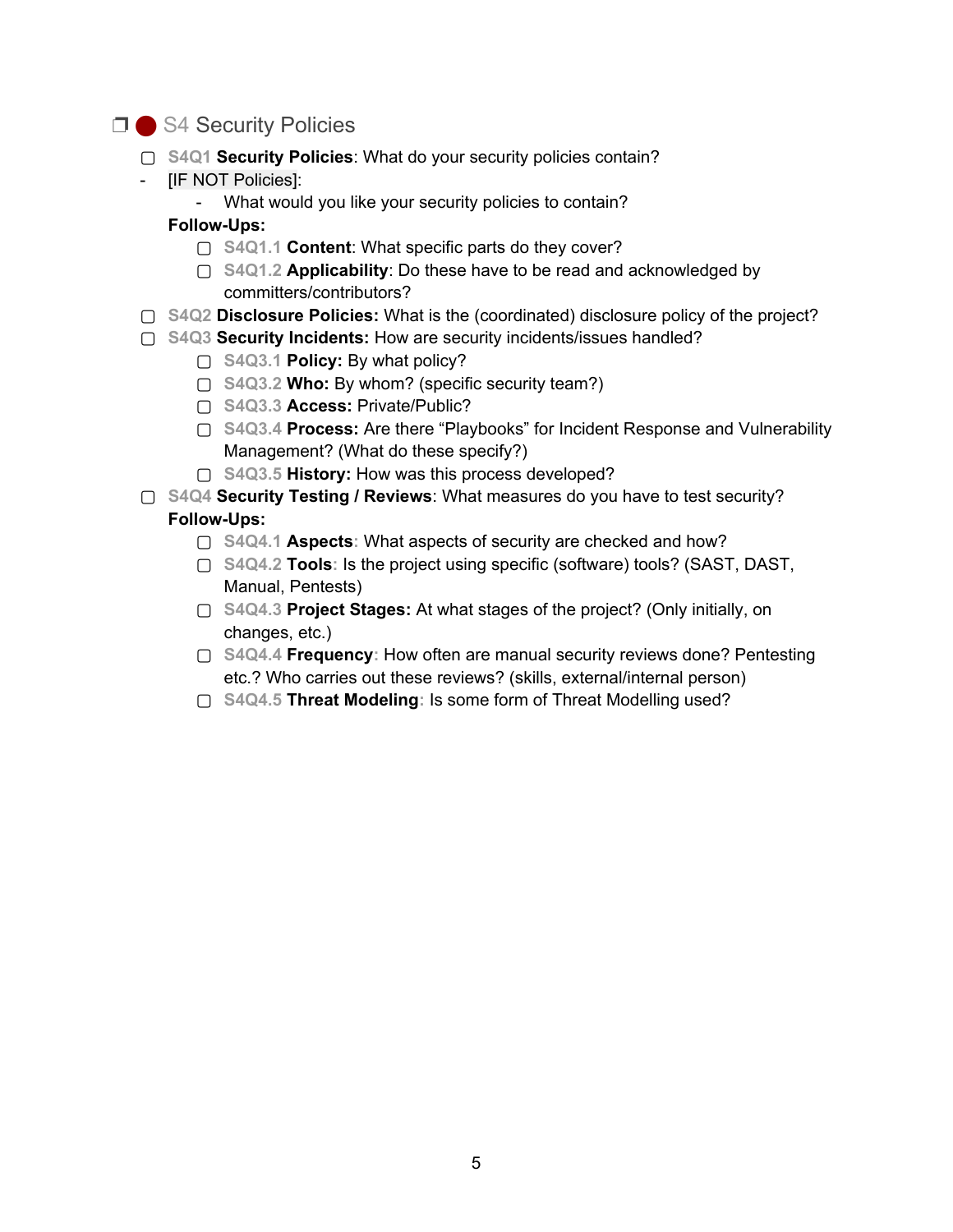# □ S4 Security Policies

- ▢ **S4Q1 Security Policies**: What do your security policies contain?
- [IF NOT Policies]:

- What would you like your security policies to contain?

#### **Follow-Ups:**

- ▢ **S4Q1.1 Content**: What specific parts do they cover?
- ▢ **S4Q1.2 Applicability**: Do these have to be read and acknowledged by committers/contributors?
- ▢ **S4Q2 Disclosure Policies:** What is the (coordinated) disclosure policy of the project?
- ▢ **S4Q3 Security Incidents:** How are security incidents/issues handled?
	- ▢ **S4Q3.1 Policy:** By what policy?
	- ▢ **S4Q3.2 Who:** By whom? (specific security team?)
	- ▢ **S4Q3.3 Access:** Private/Public?
	- ▢ **S4Q3.4 Process:** Are there "Playbooks" for Incident Response and Vulnerability Management? (What do these specify?)
	- ▢ **S4Q3.5 History:** How was this process developed?

▢ **S4Q4 Security Testing / Reviews**: What measures do you have to test security? **Follow-Ups:**

- ▢ **S4Q4.1 Aspects:** What aspects of security are checked and how?
- ▢ **S4Q4.2 Tools:** Is the project using specific (software) tools? (SAST, DAST, Manual, Pentests)
- ▢ **S4Q4.3 Project Stages:** At what stages of the project? (Only initially, on changes, etc.)
- ▢ **S4Q4.4 Frequency:** How often are manual security reviews done? Pentesting etc.? Who carries out these reviews? (skills, external/internal person)
- ▢ **S4Q4.5 Threat Modeling:** Is some form of Threat Modelling used?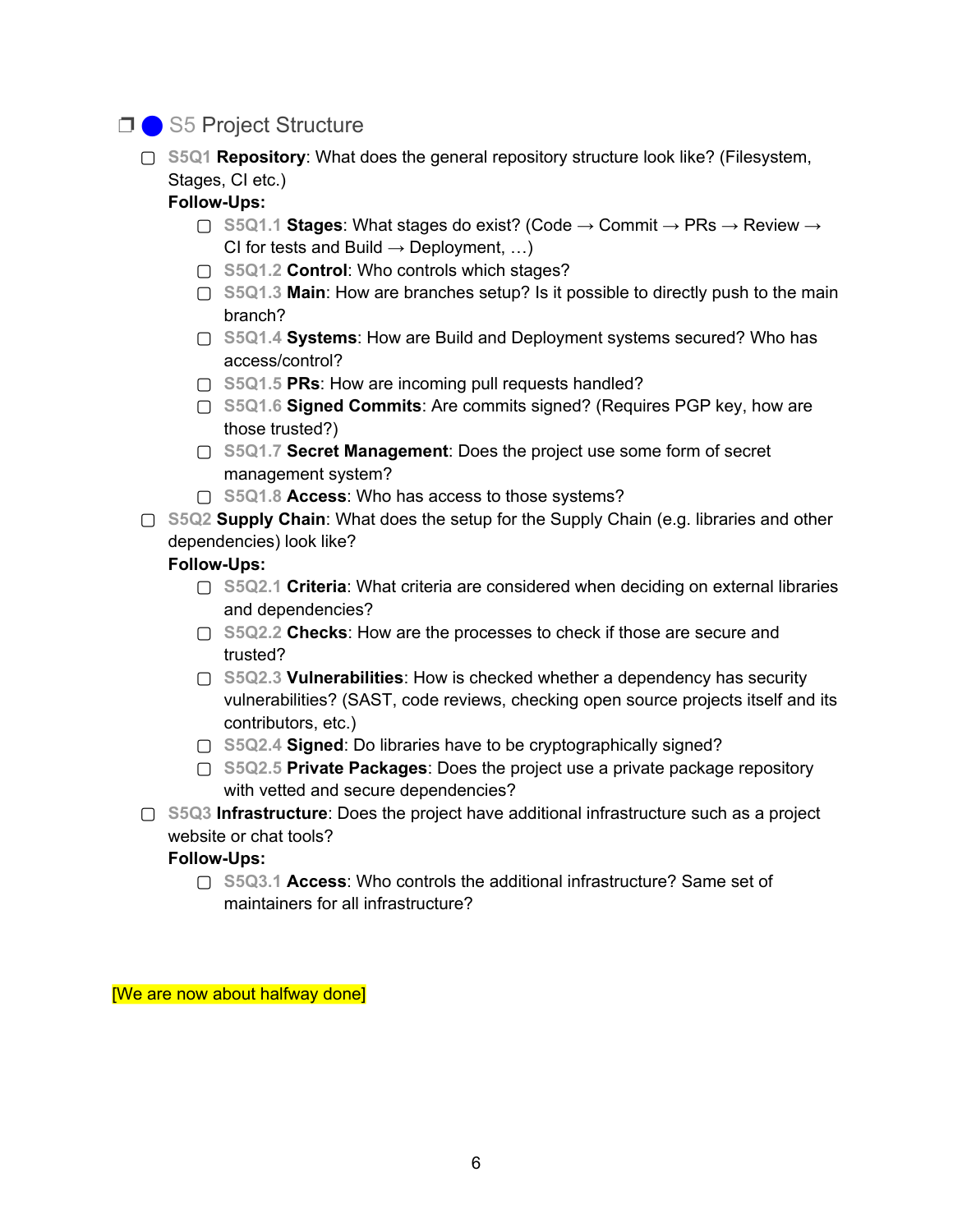# □ S5 Project Structure

▢ **S5Q1 Repository**: What does the general repository structure look like? (Filesystem, Stages, CI etc.)

#### **Follow-Ups:**

- ▢ **S5Q1.1 Stages**: What stages do exist? (Code → Commit → PRs → Review → CI for tests and Build  $\rightarrow$  Deployment, ...)
- ▢ **S5Q1.2 Control**: Who controls which stages?
- ▢ **S5Q1.3 Main**: How are branches setup? Is it possible to directly push to the main branch?
- ▢ **S5Q1.4 Systems**: How are Build and Deployment systems secured? Who has access/control?
- ▢ **S5Q1.5 PRs**: How are incoming pull requests handled?
- ▢ **S5Q1.6 Signed Commits**: Are commits signed? (Requires PGP key, how are those trusted?)
- ▢ **S5Q1.7 Secret Management**: Does the project use some form of secret management system?
- ▢ **S5Q1.8 Access**: Who has access to those systems?
- ▢ **S5Q2 Supply Chain**: What does the setup for the Supply Chain (e.g. libraries and other dependencies) look like?

#### **Follow-Ups:**

- ▢ **S5Q2.1 Criteria**: What criteria are considered when deciding on external libraries and dependencies?
- ▢ **S5Q2.2 Checks**: How are the processes to check if those are secure and trusted?
- ▢ **S5Q2.3 Vulnerabilities**: How is checked whether a dependency has security vulnerabilities? (SAST, code reviews, checking open source projects itself and its contributors, etc.)
- ▢ **S5Q2.4 Signed**: Do libraries have to be cryptographically signed?
- ▢ **S5Q2.5 Private Packages**: Does the project use a private package repository with vetted and secure dependencies?
- ▢ **S5Q3 Infrastructure**: Does the project have additional infrastructure such as a project website or chat tools?

#### **Follow-Ups:**

▢ **S5Q3.1 Access**: Who controls the additional infrastructure? Same set of maintainers for all infrastructure?

[We are now about halfway done]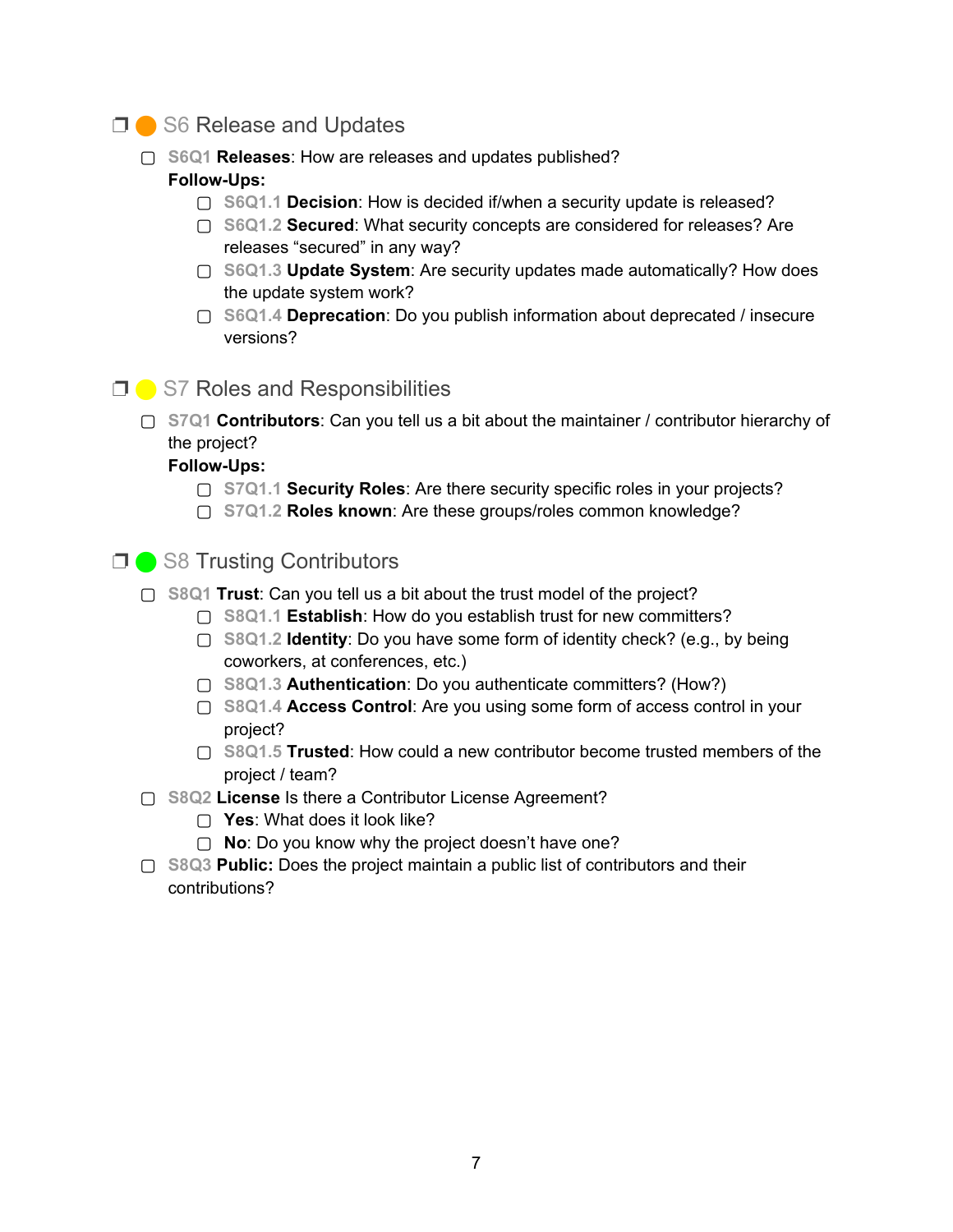#### ❐ ⬤ S6 Release and Updates

- ▢ **S6Q1 Releases**: How are releases and updates published? **Follow-Ups:**
	- ▢ **S6Q1.1 Decision**: How is decided if/when a security update is released?
	- ▢ **S6Q1.2 Secured**: What security concepts are considered for releases? Are releases "secured" in any way?
	- ▢ **S6Q1.3 Update System**: Are security updates made automatically? How does the update system work?
	- ▢ **S6Q1.4 Deprecation**: Do you publish information about deprecated / insecure versions?

### **□ ●** S7 Roles and Responsibilities

▢ **S7Q1 Contributors**: Can you tell us a bit about the maintainer / contributor hierarchy of the project?

**Follow-Ups:**

- ▢ **S7Q1.1 Security Roles**: Are there security specific roles in your projects?
- ▢ **S7Q1.2 Roles known**: Are these groups/roles common knowledge?

# ❐ ⬤ S8 Trusting Contributors

- ▢ **S8Q1 Trust**: Can you tell us a bit about the trust model of the project?
	- ▢ **S8Q1.1 Establish**: How do you establish trust for new committers?
	- ▢ **S8Q1.2 Identity**: Do you have some form of identity check? (e.g., by being coworkers, at conferences, etc.)
	- ▢ **S8Q1.3 Authentication**: Do you authenticate committers? (How?)
	- ▢ **S8Q1.4 Access Control**: Are you using some form of access control in your project?
	- ▢ **S8Q1.5 Trusted**: How could a new contributor become trusted members of the project / team?
- ▢ **S8Q2 License** Is there a Contributor License Agreement?
	- ▢ **Yes**: What does it look like?
	- ▢ **No**: Do you know why the project doesn't have one?
- ▢ **S8Q3 Public:** Does the project maintain a public list of contributors and their contributions?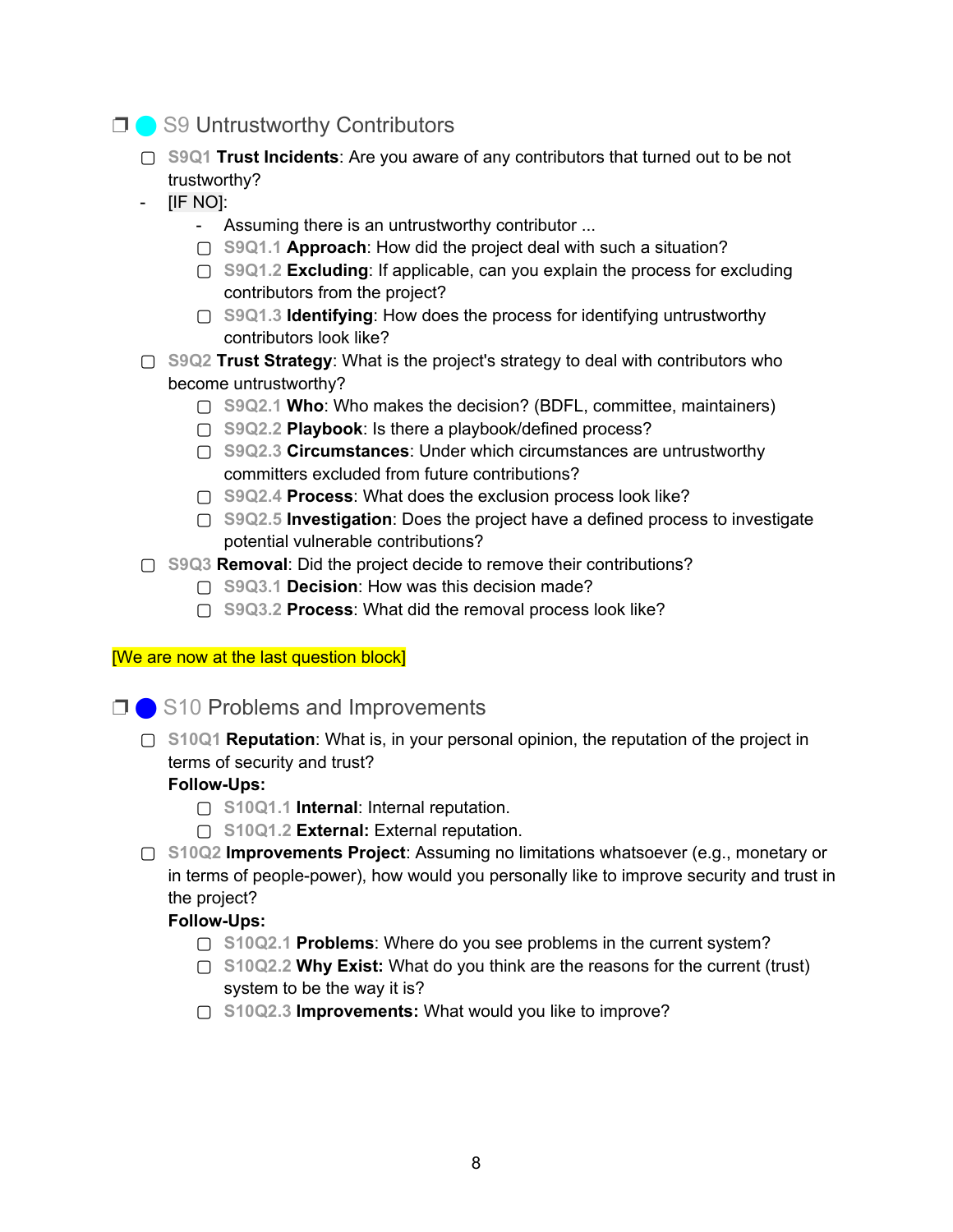# ❐ ⬤ S9 Untrustworthy Contributors

- ▢ **S9Q1 Trust Incidents**: Are you aware of any contributors that turned out to be not trustworthy?
- [IF NO]:
	- Assuming there is an untrustworthy contributor ...
	- ▢ **S9Q1.1 Approach**: How did the project deal with such a situation?
	- ▢ **S9Q1.2 Excluding**: If applicable, can you explain the process for excluding contributors from the project?
	- ▢ **S9Q1.3 Identifying**: How does the process for identifying untrustworthy contributors look like?
- ▢ **S9Q2 Trust Strategy**: What is the project's strategy to deal with contributors who become untrustworthy?
	- ▢ **S9Q2.1 Who**: Who makes the decision? (BDFL, committee, maintainers)
	- ▢ **S9Q2.2 Playbook**: Is there a playbook/defined process?
	- ▢ **S9Q2.3 Circumstances**: Under which circumstances are untrustworthy committers excluded from future contributions?
	- ▢ **S9Q2.4 Process**: What does the exclusion process look like?
	- ▢ **S9Q2.5 Investigation**: Does the project have a defined process to investigate potential vulnerable contributions?
- ▢ **S9Q3 Removal**: Did the project decide to remove their contributions?
	- ▢ **S9Q3.1 Decision**: How was this decision made?
	- ▢ **S9Q3.2 Process**: What did the removal process look like?

#### [We are now at the last question block]

**□ ● S10 Problems and Improvements** 

▢ **S10Q1 Reputation**: What is, in your personal opinion, the reputation of the project in terms of security and trust?

#### **Follow-Ups:**

- ▢ **S10Q1.1 Internal**: Internal reputation.
- ▢ **S10Q1.2 External:** External reputation.
- ▢ **S10Q2 Improvements Project**: Assuming no limitations whatsoever (e.g., monetary or in terms of people-power), how would you personally like to improve security and trust in the project?

#### **Follow-Ups:**

- ▢ **S10Q2.1 Problems**: Where do you see problems in the current system?
- ▢ **S10Q2.2 Why Exist:** What do you think are the reasons for the current (trust) system to be the way it is?
- ▢ **S10Q2.3 Improvements:** What would you like to improve?